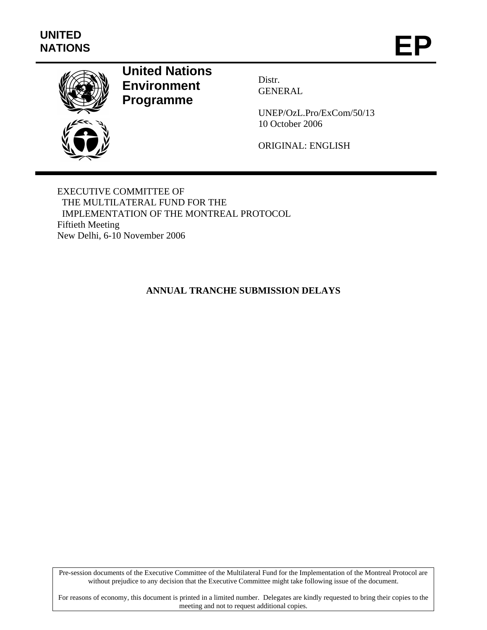

# **United Nations Environment Programme**

Distr. GENERAL

UNEP/OzL.Pro/ExCom/50/13 10 October 2006

ORIGINAL: ENGLISH

EXECUTIVE COMMITTEE OF THE MULTILATERAL FUND FOR THE IMPLEMENTATION OF THE MONTREAL PROTOCOL Fiftieth Meeting New Delhi, 6-10 November 2006

## **ANNUAL TRANCHE SUBMISSION DELAYS**

Pre-session documents of the Executive Committee of the Multilateral Fund for the Implementation of the Montreal Protocol are without prejudice to any decision that the Executive Committee might take following issue of the document.

For reasons of economy, this document is printed in a limited number. Delegates are kindly requested to bring their copies to the meeting and not to request additional copies.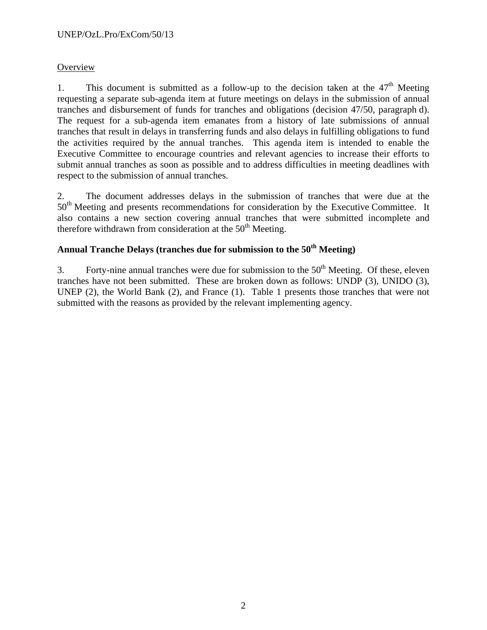## **Overview**

1. This document is submitted as a follow-up to the decision taken at the  $47<sup>th</sup>$  Meeting requesting a separate sub-agenda item at future meetings on delays in the submission of annual tranches and disbursement of funds for tranches and obligations (decision 47/50, paragraph d). The request for a sub-agenda item emanates from a history of late submissions of annual tranches that result in delays in transferring funds and also delays in fulfilling obligations to fund the activities required by the annual tranches. This agenda item is intended to enable the Executive Committee to encourage countries and relevant agencies to increase their efforts to submit annual tranches as soon as possible and to address difficulties in meeting deadlines with respect to the submission of annual tranches.

2. The document addresses delays in the submission of tranches that were due at the 50<sup>th</sup> Meeting and presents recommendations for consideration by the Executive Committee. It also contains a new section covering annual tranches that were submitted incomplete and therefore withdrawn from consideration at the  $50<sup>th</sup>$  Meeting.

## **Annual Tranche Delays (tranches due for submission to the 50th Meeting)**

3. Forty-nine annual tranches were due for submission to the  $50<sup>th</sup>$  Meeting. Of these, eleven tranches have not been submitted. These are broken down as follows: UNDP (3), UNIDO (3), UNEP (2), the World Bank (2), and France (1). Table 1 presents those tranches that were not submitted with the reasons as provided by the relevant implementing agency.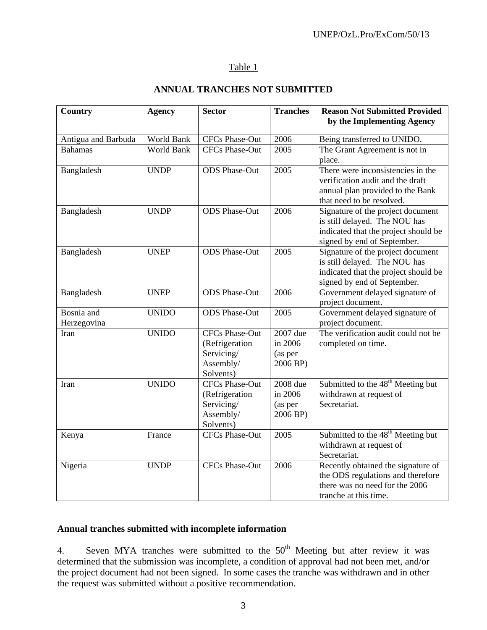## Table 1

## **ANNUAL TRANCHES NOT SUBMITTED**

| <b>Country</b>      | <b>Agency</b>     | <b>Sector</b>                | <b>Tranches</b>     | <b>Reason Not Submitted Provided</b>                                    |
|---------------------|-------------------|------------------------------|---------------------|-------------------------------------------------------------------------|
|                     |                   |                              |                     | by the Implementing Agency                                              |
| Antigua and Barbuda | World Bank        | CFCs Phase-Out               | 2006                | Being transferred to UNIDO.                                             |
| <b>Bahamas</b>      | <b>World Bank</b> | <b>CFCs Phase-Out</b>        | 2005                | The Grant Agreement is not in                                           |
|                     |                   |                              |                     | place.                                                                  |
| Bangladesh          | <b>UNDP</b>       | <b>ODS</b> Phase-Out         | 2005                | There were inconsistencies in the                                       |
|                     |                   |                              |                     | verification audit and the draft                                        |
|                     |                   |                              |                     | annual plan provided to the Bank                                        |
|                     |                   | <b>ODS</b> Phase-Out         | 2006                | that need to be resolved.                                               |
| Bangladesh          | <b>UNDP</b>       |                              |                     | Signature of the project document<br>is still delayed. The NOU has      |
|                     |                   |                              |                     | indicated that the project should be                                    |
|                     |                   |                              |                     | signed by end of September.                                             |
| Bangladesh          | <b>UNEP</b>       | <b>ODS</b> Phase-Out         | 2005                | Signature of the project document                                       |
|                     |                   |                              |                     | is still delayed. The NOU has                                           |
|                     |                   |                              |                     | indicated that the project should be                                    |
|                     |                   |                              |                     | signed by end of September.                                             |
| Bangladesh          | <b>UNEP</b>       | <b>ODS</b> Phase-Out         | 2006                | Government delayed signature of                                         |
|                     |                   |                              |                     | project document.                                                       |
| Bosnia and          | <b>UNIDO</b>      | <b>ODS</b> Phase-Out         | 2005                | Government delayed signature of                                         |
| Herzegovina         |                   |                              |                     | project document.                                                       |
| Iran                | <b>UNIDO</b>      | <b>CFCs Phase-Out</b>        | 2007 due<br>in 2006 | The verification audit could not be                                     |
|                     |                   | (Refrigeration<br>Servicing/ | (as per             | completed on time.                                                      |
|                     |                   | Assembly/                    | 2006 BP)            |                                                                         |
|                     |                   | Solvents)                    |                     |                                                                         |
| Iran                | <b>UNIDO</b>      | <b>CFCs Phase-Out</b>        | 2008 due            | Submitted to the 48 <sup>th</sup> Meeting but                           |
|                     |                   | (Refrigeration               | in 2006             | withdrawn at request of                                                 |
|                     |                   | Servicing/                   | (as per             | Secretariat.                                                            |
|                     |                   | Assembly/                    | 2006 BP)            |                                                                         |
|                     |                   | Solvents)                    |                     |                                                                         |
| Kenya               | France            | <b>CFCs Phase-Out</b>        | 2005                | Submitted to the 48 <sup>th</sup> Meeting but                           |
|                     |                   |                              |                     | withdrawn at request of                                                 |
|                     |                   |                              |                     | Secretariat.                                                            |
| Nigeria             | <b>UNDP</b>       | <b>CFCs Phase-Out</b>        | 2006                | Recently obtained the signature of<br>the ODS regulations and therefore |
|                     |                   |                              |                     | there was no need for the 2006                                          |
|                     |                   |                              |                     | tranche at this time.                                                   |
|                     |                   |                              |                     |                                                                         |

## **Annual tranches submitted with incomplete information**

4. Seven MYA tranches were submitted to the  $50<sup>th</sup>$  Meeting but after review it was determined that the submission was incomplete, a condition of approval had not been met, and/or the project document had not been signed. In some cases the tranche was withdrawn and in other the request was submitted without a positive recommendation.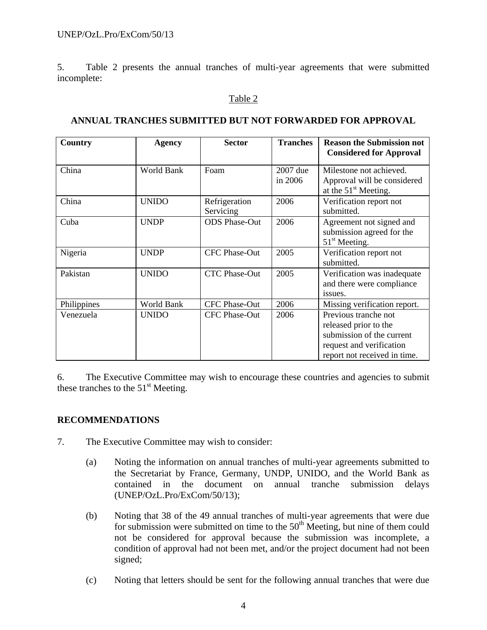5. Table 2 presents the annual tranches of multi-year agreements that were submitted incomplete:

#### Table 2

# **ANNUAL TRANCHES SUBMITTED BUT NOT FORWARDED FOR APPROVAL**

| <b>Country</b> | <b>Agency</b> | <b>Sector</b>              | <b>Tranches</b>     | <b>Reason the Submission not</b><br><b>Considered for Approval</b>                                                                     |
|----------------|---------------|----------------------------|---------------------|----------------------------------------------------------------------------------------------------------------------------------------|
| China          | World Bank    | Foam                       | 2007 due<br>in 2006 | Milestone not achieved.<br>Approval will be considered<br>at the $51st$ Meeting.                                                       |
| China          | <b>UNIDO</b>  | Refrigeration<br>Servicing | 2006                | Verification report not<br>submitted.                                                                                                  |
| Cuba           | <b>UNDP</b>   | <b>ODS</b> Phase-Out       | 2006                | Agreement not signed and<br>submission agreed for the<br>$51st$ Meeting.                                                               |
| Nigeria        | <b>UNDP</b>   | <b>CFC Phase-Out</b>       | 2005                | Verification report not<br>submitted.                                                                                                  |
| Pakistan       | <b>UNIDO</b>  | <b>CTC Phase-Out</b>       | 2005                | Verification was inadequate<br>and there were compliance<br>issues.                                                                    |
| Philippines    | World Bank    | <b>CFC Phase-Out</b>       | 2006                | Missing verification report.                                                                                                           |
| Venezuela      | <b>UNIDO</b>  | <b>CFC Phase-Out</b>       | 2006                | Previous tranche not<br>released prior to the<br>submission of the current<br>request and verification<br>report not received in time. |

6. The Executive Committee may wish to encourage these countries and agencies to submit these tranches to the  $51<sup>st</sup>$  Meeting.

#### **RECOMMENDATIONS**

- 7. The Executive Committee may wish to consider:
	- (a) Noting the information on annual tranches of multi-year agreements submitted to the Secretariat by France, Germany, UNDP, UNIDO, and the World Bank as contained in the document on annual tranche submission delays (UNEP/OzL.Pro/ExCom/50/13);
	- (b) Noting that 38 of the 49 annual tranches of multi-year agreements that were due for submission were submitted on time to the  $50<sup>th</sup>$  Meeting, but nine of them could not be considered for approval because the submission was incomplete, a condition of approval had not been met, and/or the project document had not been signed;
	- (c) Noting that letters should be sent for the following annual tranches that were due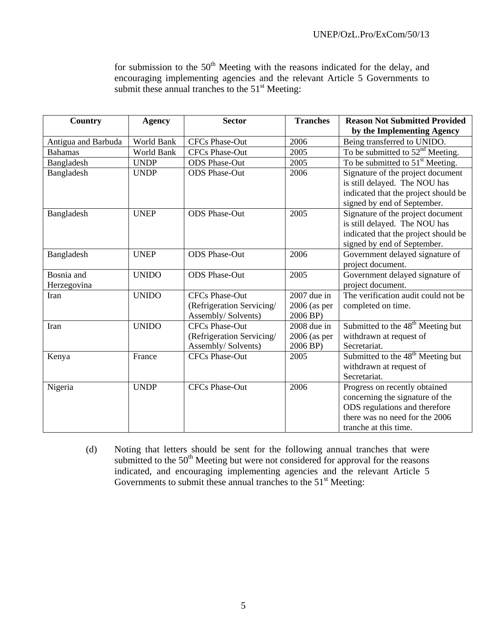for submission to the  $50<sup>th</sup>$  Meeting with the reasons indicated for the delay, and encouraging implementing agencies and the relevant Article 5 Governments to submit these annual tranches to the  $51<sup>st</sup>$  Meeting:

| <b>Country</b>      | <b>Agency</b> | <b>Sector</b>                                    | <b>Tranches</b>            | <b>Reason Not Submitted Provided</b><br>by the Implementing Agency                                                                        |
|---------------------|---------------|--------------------------------------------------|----------------------------|-------------------------------------------------------------------------------------------------------------------------------------------|
| Antigua and Barbuda | World Bank    | <b>CFCs Phase-Out</b>                            | 2006                       | Being transferred to UNIDO.                                                                                                               |
| <b>Bahamas</b>      | World Bank    | <b>CFCs Phase-Out</b>                            | 2005                       | To be submitted to $52nd$ Meeting.                                                                                                        |
| Bangladesh          | <b>UNDP</b>   | <b>ODS</b> Phase-Out                             | 2005                       | To be submitted to $51st$ Meeting.                                                                                                        |
| Bangladesh          | <b>UNDP</b>   | <b>ODS</b> Phase-Out                             | 2006                       | Signature of the project document<br>is still delayed. The NOU has<br>indicated that the project should be<br>signed by end of September. |
| Bangladesh          | <b>UNEP</b>   | <b>ODS</b> Phase-Out                             | 2005                       | Signature of the project document<br>is still delayed. The NOU has<br>indicated that the project should be<br>signed by end of September. |
| Bangladesh          | <b>UNEP</b>   | <b>ODS</b> Phase-Out                             | 2006                       | Government delayed signature of<br>project document.                                                                                      |
| Bosnia and          | <b>UNIDO</b>  | <b>ODS</b> Phase-Out                             | 2005                       | Government delayed signature of                                                                                                           |
| Herzegovina         |               |                                                  |                            | project document.                                                                                                                         |
| Iran                | <b>UNIDO</b>  | <b>CFCs Phase-Out</b>                            | $2007$ due in              | The verification audit could not be                                                                                                       |
|                     |               | (Refrigeration Servicing/<br>Assembly/ Solvents) | $2006$ (as per<br>2006 BP) | completed on time.                                                                                                                        |
| Iran                | <b>UNIDO</b>  | <b>CFCs Phase-Out</b>                            | 2008 due in                | Submitted to the 48 <sup>th</sup> Meeting but                                                                                             |
|                     |               | (Refrigeration Servicing/                        | $2006$ (as per             | withdrawn at request of                                                                                                                   |
|                     |               | Assembly/ Solvents)                              | 2006 BP)                   | Secretariat.                                                                                                                              |
| Kenya               | France        | <b>CFCs Phase-Out</b>                            | 2005                       | Submitted to the 48 <sup>th</sup> Meeting but                                                                                             |
|                     |               |                                                  |                            | withdrawn at request of                                                                                                                   |
|                     |               |                                                  |                            | Secretariat.                                                                                                                              |
| Nigeria             | <b>UNDP</b>   | <b>CFCs Phase-Out</b>                            | 2006                       | Progress on recently obtained                                                                                                             |
|                     |               |                                                  |                            | concerning the signature of the                                                                                                           |
|                     |               |                                                  |                            | ODS regulations and therefore                                                                                                             |
|                     |               |                                                  |                            | there was no need for the 2006                                                                                                            |
|                     |               |                                                  |                            | tranche at this time.                                                                                                                     |

(d) Noting that letters should be sent for the following annual tranches that were submitted to the  $50<sup>th</sup>$  Meeting but were not considered for approval for the reasons indicated, and encouraging implementing agencies and the relevant Article 5 Governments to submit these annual tranches to the  $51<sup>st</sup>$  Meeting: